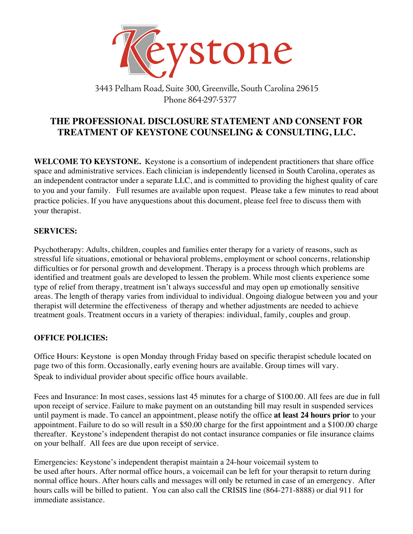

3443 Pelham Road, Suite 300, Greenville, South Carolina 29615 Phone 864 297 5377

# **THE PROFESSIONAL DISCLOSURE STATEMENT AND CONSENT FOR TREATMENT OF KEYSTONE COUNSELING & CONSULTING, LLC.**

**WELCOME TO KEYSTONE.** Keystone is a consortium of independent practitioners that share office space and administrative services. Each clinician is independently licensed in South Carolina, operates as an independent contractor under a separate LLC, and is committed to providing the highest quality of care to you and your family. Full resumes are available upon request. Please take a few minutes to read about practice policies. If you have anyquestions about this document, please feel free to discuss them with your therapist.

### **SERVICES:**

Psychotherapy: Adults, children, couples and families enter therapy for a variety of reasons, such as stressful life situations, emotional or behavioral problems, employment or school concerns, relationship difficulties or for personal growth and development. Therapy is a process through which problems are identified and treatment goals are developed to lessen the problem. While most clients experience some type of relief from therapy, treatment isn't always successful and may open up emotionally sensitive areas. The length of therapy varies from individual to individual. Ongoing dialogue between you and your therapist will determine the effectiveness of therapy and whether adjustments are needed to achieve treatment goals. Treatment occurs in a variety of therapies: individual, family, couples and group.

# **OFFICE POLICIES:**

Office Hours: Keystone is open Monday through Friday based on specific therapist schedule located on page two of this form. Occasionally, early evening hours are available. Group times will vary. Speak to individual provider about specific office hours available.

Fees and Insurance: In most cases, sessions last 45 minutes for a charge of \$100.00. All fees are due in full upon receipt of service. Failure to make payment on an outstanding bill may result in suspended services until payment is made. To cancel an appointment, please notify the office **at least 24 hours prior** to your appointment. Failure to do so will result in a \$50.00 charge for the first appointment and a \$100.00 charge thereafter. Keystone's independent therapist do not contact insurance companies or file insurance claims on your belhalf. All fees are due upon receipt of service.

Emergencies: Keystone's independent therapist maintain a 24-hour voicemail system to be used after hours. After normal office hours, a voicemail can be left for your therapsit to return during normal office hours. After hours calls and messages will only be returned in case of an emergency. After hours calls will be billed to patient. You can also call the CRISIS line (864-271-8888) or dial 911 for immediate assistance.